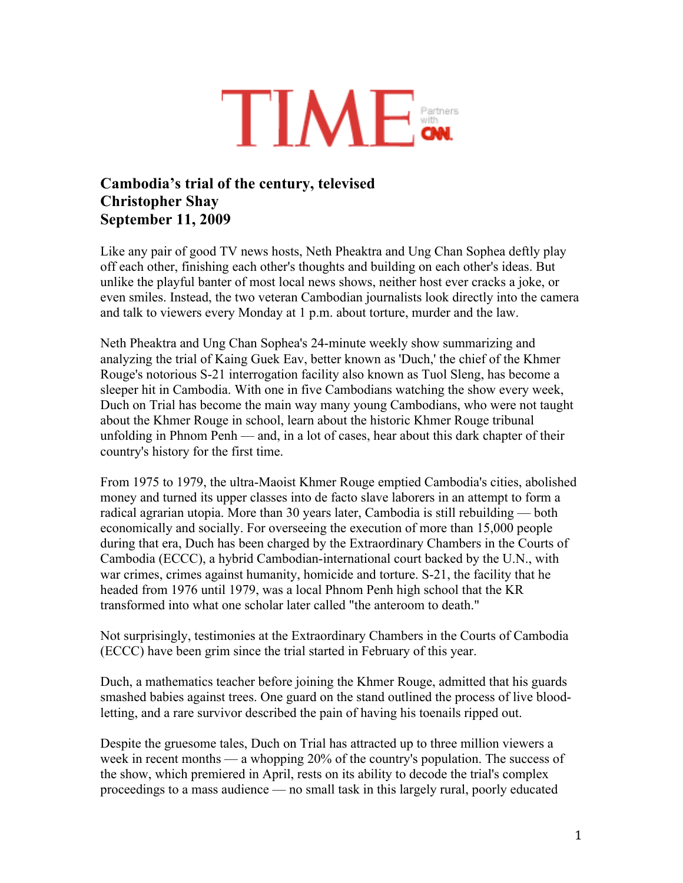

## **Cambodia's trial of the century, televised Christopher Shay September 11, 2009**

Like any pair of good TV news hosts, Neth Pheaktra and Ung Chan Sophea deftly play off each other, finishing each other's thoughts and building on each other's ideas. But unlike the playful banter of most local news shows, neither host ever cracks a joke, or even smiles. Instead, the two veteran Cambodian journalists look directly into the camera and talk to viewers every Monday at 1 p.m. about torture, murder and the law.

Neth Pheaktra and Ung Chan Sophea's 24-minute weekly show summarizing and analyzing the trial of Kaing Guek Eav, better known as 'Duch,' the chief of the Khmer Rouge's notorious S-21 interrogation facility also known as Tuol Sleng, has become a sleeper hit in Cambodia. With one in five Cambodians watching the show every week, Duch on Trial has become the main way many young Cambodians, who were not taught about the Khmer Rouge in school, learn about the historic Khmer Rouge tribunal unfolding in Phnom Penh — and, in a lot of cases, hear about this dark chapter of their country's history for the first time.

From 1975 to 1979, the ultra-Maoist Khmer Rouge emptied Cambodia's cities, abolished money and turned its upper classes into de facto slave laborers in an attempt to form a radical agrarian utopia. More than 30 years later, Cambodia is still rebuilding — both economically and socially. For overseeing the execution of more than 15,000 people during that era, Duch has been charged by the Extraordinary Chambers in the Courts of Cambodia (ECCC), a hybrid Cambodian-international court backed by the U.N., with war crimes, crimes against humanity, homicide and torture. S-21, the facility that he headed from 1976 until 1979, was a local Phnom Penh high school that the KR transformed into what one scholar later called "the anteroom to death."

Not surprisingly, testimonies at the Extraordinary Chambers in the Courts of Cambodia (ECCC) have been grim since the trial started in February of this year.

Duch, a mathematics teacher before joining the Khmer Rouge, admitted that his guards smashed babies against trees. One guard on the stand outlined the process of live bloodletting, and a rare survivor described the pain of having his toenails ripped out.

Despite the gruesome tales, Duch on Trial has attracted up to three million viewers a week in recent months — a whopping 20% of the country's population. The success of the show, which premiered in April, rests on its ability to decode the trial's complex proceedings to a mass audience — no small task in this largely rural, poorly educated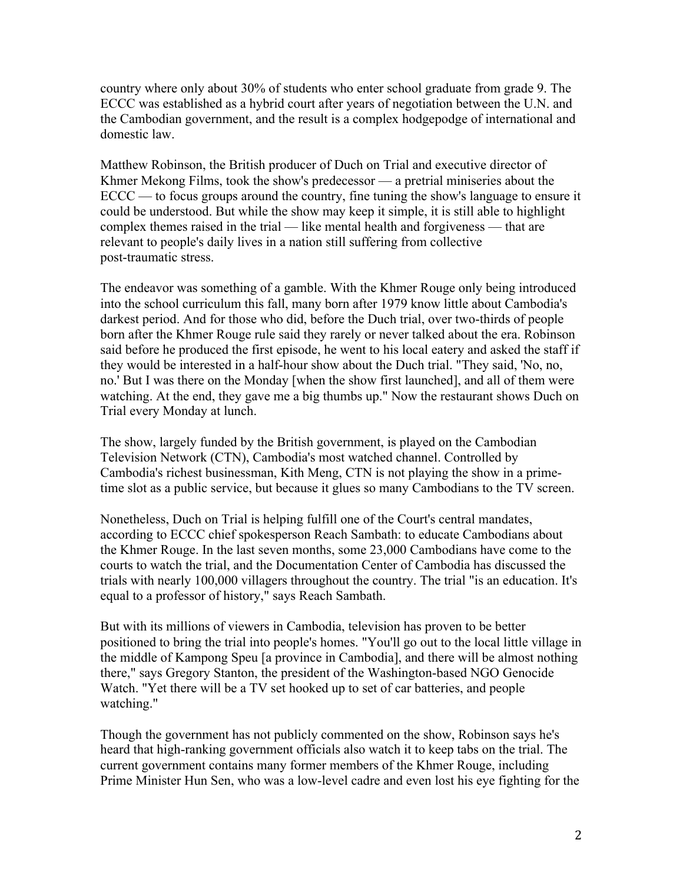country where only about 30% of students who enter school graduate from grade 9. The ECCC was established as a hybrid court after years of negotiation between the U.N. and the Cambodian government, and the result is a complex hodgepodge of international and domestic law.

Matthew Robinson, the British producer of Duch on Trial and executive director of Khmer Mekong Films, took the show's predecessor — a pretrial miniseries about the ECCC — to focus groups around the country, fine tuning the show's language to ensure it could be understood. But while the show may keep it simple, it is still able to highlight complex themes raised in the trial — like mental health and forgiveness — that are relevant to people's daily lives in a nation still suffering from collective post-traumatic stress.

The endeavor was something of a gamble. With the Khmer Rouge only being introduced into the school curriculum this fall, many born after 1979 know little about Cambodia's darkest period. And for those who did, before the Duch trial, over two-thirds of people born after the Khmer Rouge rule said they rarely or never talked about the era. Robinson said before he produced the first episode, he went to his local eatery and asked the staff if they would be interested in a half-hour show about the Duch trial. "They said, 'No, no, no.' But I was there on the Monday [when the show first launched], and all of them were watching. At the end, they gave me a big thumbs up." Now the restaurant shows Duch on Trial every Monday at lunch.

The show, largely funded by the British government, is played on the Cambodian Television Network (CTN), Cambodia's most watched channel. Controlled by Cambodia's richest businessman, Kith Meng, CTN is not playing the show in a primetime slot as a public service, but because it glues so many Cambodians to the TV screen.

Nonetheless, Duch on Trial is helping fulfill one of the Court's central mandates, according to ECCC chief spokesperson Reach Sambath: to educate Cambodians about the Khmer Rouge. In the last seven months, some 23,000 Cambodians have come to the courts to watch the trial, and the Documentation Center of Cambodia has discussed the trials with nearly 100,000 villagers throughout the country. The trial "is an education. It's equal to a professor of history," says Reach Sambath.

But with its millions of viewers in Cambodia, television has proven to be better positioned to bring the trial into people's homes. "You'll go out to the local little village in the middle of Kampong Speu [a province in Cambodia], and there will be almost nothing there," says Gregory Stanton, the president of the Washington-based NGO Genocide Watch. "Yet there will be a TV set hooked up to set of car batteries, and people watching."

Though the government has not publicly commented on the show, Robinson says he's heard that high-ranking government officials also watch it to keep tabs on the trial. The current government contains many former members of the Khmer Rouge, including Prime Minister Hun Sen, who was a low-level cadre and even lost his eye fighting for the